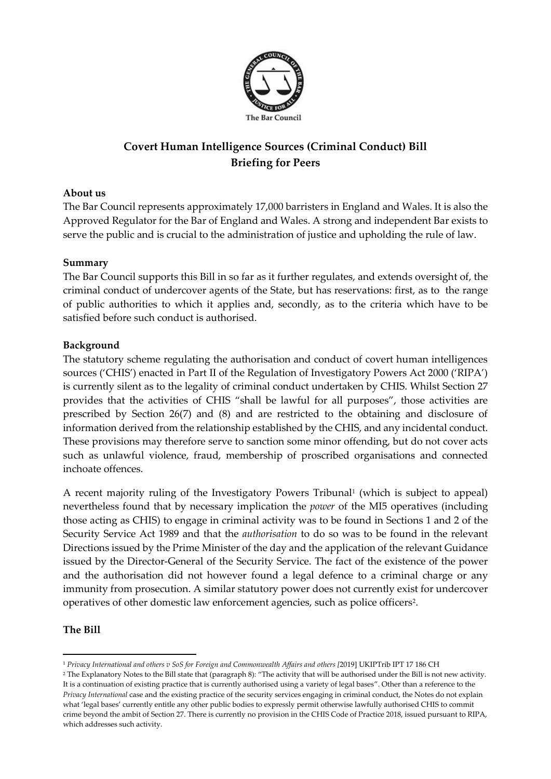

# **Covert Human Intelligence Sources (Criminal Conduct) Bill Briefing for Peers**

### **About us**

The Bar Council represents approximately 17,000 barristers in England and Wales. It is also the Approved Regulator for the Bar of England and Wales. A strong and independent Bar exists to serve the public and is crucial to the administration of justice and upholding the rule of law.

#### **Summary**

The Bar Council supports this Bill in so far as it further regulates, and extends oversight of, the criminal conduct of undercover agents of the State, but has reservations: first, as to the range of public authorities to which it applies and, secondly, as to the criteria which have to be satisfied before such conduct is authorised.

#### **Background**

The statutory scheme regulating the authorisation and conduct of covert human intelligences sources ('CHIS') enacted in Part II of the Regulation of Investigatory Powers Act 2000 ('RIPA') is currently silent as to the legality of criminal conduct undertaken by CHIS. Whilst Section 27 provides that the activities of CHIS "shall be lawful for all purposes", those activities are prescribed by Section 26(7) and (8) and are restricted to the obtaining and disclosure of information derived from the relationship established by the CHIS, and any incidental conduct. These provisions may therefore serve to sanction some minor offending, but do not cover acts such as unlawful violence, fraud, membership of proscribed organisations and connected inchoate offences.

A recent majority ruling of the Investigatory Powers Tribunal<sup>1</sup> (which is subject to appeal) nevertheless found that by necessary implication the *power* of the MI5 operatives (including those acting as CHIS) to engage in criminal activity was to be found in Sections 1 and 2 of the Security Service Act 1989 and that the *authorisation* to do so was to be found in the relevant Directions issued by the Prime Minister of the day and the application of the relevant Guidance issued by the Director-General of the Security Service. The fact of the existence of the power and the authorisation did not however found a legal defence to a criminal charge or any immunity from prosecution. A similar statutory power does not currently exist for undercover operatives of other domestic law enforcement agencies, such as police officers<sup>2</sup>.

#### **The Bill**

<sup>1</sup> *Privacy International and others v SoS for Foreign and Commonwealth Affairs and others [*2019] UKIPTrib IPT 17 186 CH

<sup>2</sup> The Explanatory Notes to the Bill state that (paragraph 8): "The activity that will be authorised under the Bill is not new activity. It is a continuation of existing practice that is currently authorised using a variety of legal bases". Other than a reference to the *Privacy International* case and the existing practice of the security services engaging in criminal conduct, the Notes do not explain what 'legal bases' currently entitle any other public bodies to expressly permit otherwise lawfully authorised CHIS to commit crime beyond the ambit of Section 27. There is currently no provision in the CHIS Code of Practice 2018, issued pursuant to RIPA, which addresses such activity.